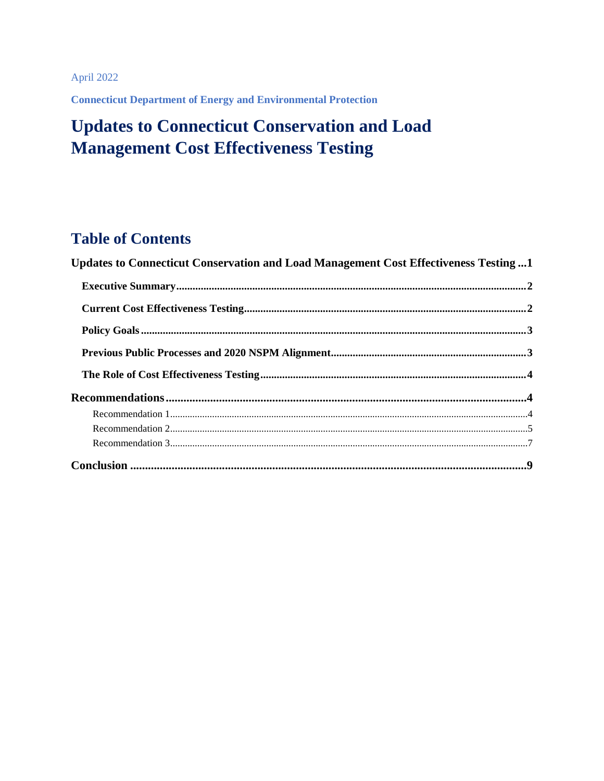## **April 2022**

**Connecticut Department of Energy and Environmental Protection** 

# <span id="page-0-0"></span>**Updates to Connecticut Conservation and Load Management Cost Effectiveness Testing**

## **Table of Contents**

| Updates to Connecticut Conservation and Load Management Cost Effectiveness Testing1 |  |
|-------------------------------------------------------------------------------------|--|
|                                                                                     |  |
|                                                                                     |  |
|                                                                                     |  |
|                                                                                     |  |
|                                                                                     |  |
|                                                                                     |  |
|                                                                                     |  |
|                                                                                     |  |
|                                                                                     |  |
|                                                                                     |  |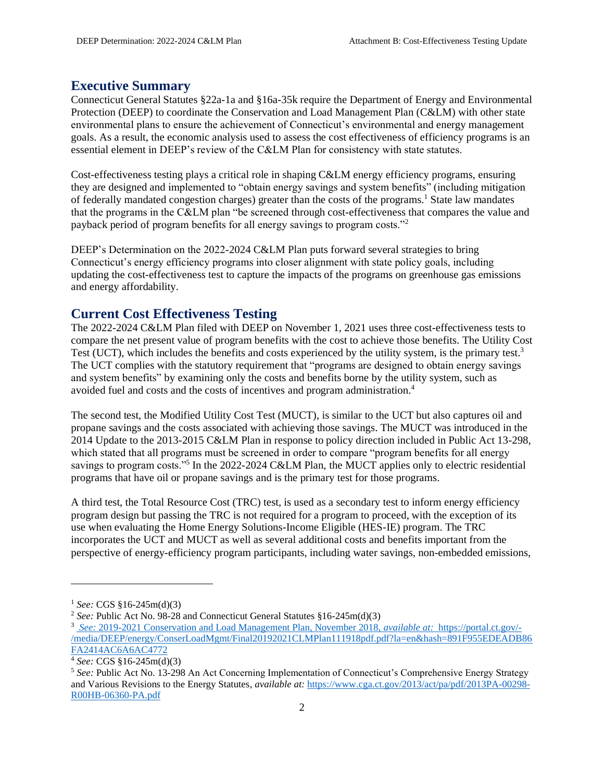#### <span id="page-1-0"></span>**Executive Summary**

Connecticut General Statutes §22a-1a and §16a-35k require the Department of Energy and Environmental Protection (DEEP) to coordinate the Conservation and Load Management Plan (C&LM) with other state environmental plans to ensure the achievement of Connecticut's environmental and energy management goals. As a result, the economic analysis used to assess the cost effectiveness of efficiency programs is an essential element in DEEP's review of the C&LM Plan for consistency with state statutes.

Cost-effectiveness testing plays a critical role in shaping C&LM energy efficiency programs, ensuring they are designed and implemented to "obtain energy savings and system benefits" (including mitigation of federally mandated congestion charges) greater than the costs of the programs.<sup>1</sup> State law mandates that the programs in the C&LM plan "be screened through cost-effectiveness that compares the value and payback period of program benefits for all energy savings to program costs."<sup>2</sup>

DEEP's Determination on the 2022-2024 C&LM Plan puts forward several strategies to bring Connecticut's energy efficiency programs into closer alignment with state policy goals, including updating the cost-effectiveness test to capture the impacts of the programs on greenhouse gas emissions and energy affordability.

#### <span id="page-1-1"></span>**Current Cost Effectiveness Testing**

The 2022-2024 C&LM Plan filed with DEEP on November 1, 2021 uses three cost-effectiveness tests to compare the net present value of program benefits with the cost to achieve those benefits. The Utility Cost Test (UCT), which includes the benefits and costs experienced by the utility system, is the primary test.<sup>3</sup> The UCT complies with the statutory requirement that "programs are designed to obtain energy savings and system benefits" by examining only the costs and benefits borne by the utility system, such as avoided fuel and costs and the costs of incentives and program administration.<sup>4</sup>

The second test, the Modified Utility Cost Test (MUCT), is similar to the UCT but also captures oil and propane savings and the costs associated with achieving those savings. The MUCT was introduced in the 2014 Update to the 2013-2015 C&LM Plan in response to policy direction included in Public Act 13-298, which stated that all programs must be screened in order to compare "program benefits for all energy savings to program costs."<sup>5</sup> In the 2022-2024 C&LM Plan, the MUCT applies only to electric residential programs that have oil or propane savings and is the primary test for those programs.

A third test, the Total Resource Cost (TRC) test, is used as a secondary test to inform energy efficiency program design but passing the TRC is not required for a program to proceed, with the exception of its use when evaluating the Home Energy Solutions-Income Eligible (HES-IE) program. The TRC incorporates the UCT and MUCT as well as several additional costs and benefits important from the perspective of energy-efficiency program participants, including water savings, non-embedded emissions,

<sup>1</sup> *See:* CGS §16-245m(d)(3)

<sup>2</sup> *See:* Public Act No. 98-28 and Connecticut General Statutes §16-245m(d)(3)

<sup>3</sup> *See:* 2019-2021 Conservation and Load Management Plan, November 2018, *available at:* https://portal.ct.gov/- /media/DEEP/energy/ConserLoadMgmt/Final20192021CLMPlan111918pdf.pdf?la=en&hash=891F955EDEADB86 FA2414AC6A6AC4772

<sup>4</sup> *See:* CGS §16-245m(d)(3)

<sup>&</sup>lt;sup>5</sup> See: Public Act No. 13-298 An Act Concerning Implementation of Connecticut's Comprehensive Energy Strategy and Various Revisions to the Energy Statutes, *available at:* [https://www.cga.ct.gov/2013/act/pa/pdf/2013PA-00298-](https://www.cga.ct.gov/2013/act/pa/pdf/2013PA-00298-R00HB-06360-PA.pdf) [R00HB-06360-PA.pdf](https://www.cga.ct.gov/2013/act/pa/pdf/2013PA-00298-R00HB-06360-PA.pdf)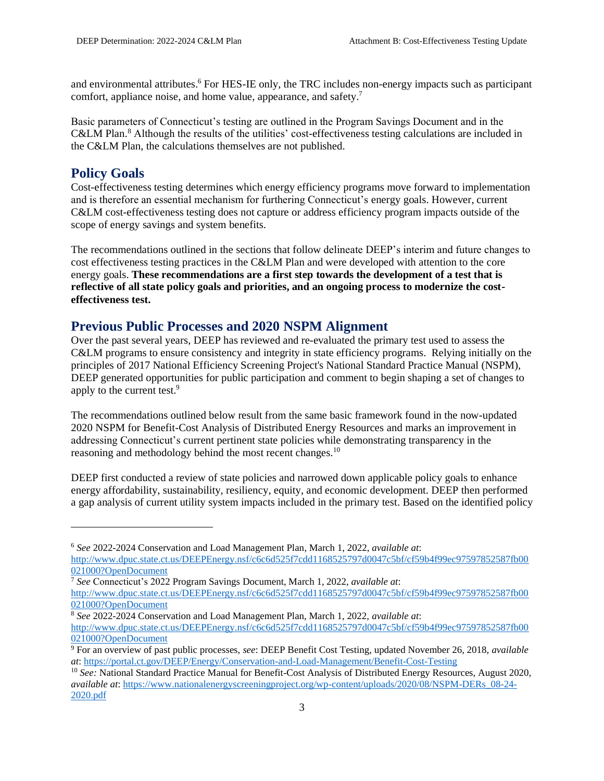and environmental attributes.<sup>6</sup> For HES-IE only, the TRC includes non-energy impacts such as participant comfort, appliance noise, and home value, appearance, and safety.<sup>7</sup>

Basic parameters of Connecticut's testing are outlined in the Program Savings Document and in the C&LM Plan.<sup>8</sup> Although the results of the utilities' cost-effectiveness testing calculations are included in the C&LM Plan, the calculations themselves are not published.

## <span id="page-2-0"></span>**Policy Goals**

Cost-effectiveness testing determines which energy efficiency programs move forward to implementation and is therefore an essential mechanism for furthering Connecticut's energy goals. However, current C&LM cost-effectiveness testing does not capture or address efficiency program impacts outside of the scope of energy savings and system benefits.

The recommendations outlined in the sections that follow delineate DEEP's interim and future changes to cost effectiveness testing practices in the C&LM Plan and were developed with attention to the core energy goals. **These recommendations are a first step towards the development of a test that is reflective of all state policy goals and priorities, and an ongoing process to modernize the costeffectiveness test.**

## <span id="page-2-1"></span>**Previous Public Processes and 2020 NSPM Alignment**

Over the past several years, DEEP has reviewed and re-evaluated the primary test used to assess the C&LM programs to ensure consistency and integrity in state efficiency programs. Relying initially on the principles of 2017 National Efficiency Screening Project's [National Standard Practice Manual](https://nationalefficiencyscreening.org/wp-content/uploads/2017/05/NSPM_May-2017_final.pdf) (NSPM), DEEP generated opportunities for public participation and comment to begin shaping a set of changes to apply to the current test.<sup>9</sup>

The recommendations outlined below result from the same basic framework found in the now-updated 2020 NSPM for Benefit-Cost Analysis of Distributed Energy Resources and marks an improvement in addressing Connecticut's current pertinent state policies while demonstrating transparency in the reasoning and methodology behind the most recent changes.<sup>10</sup>

DEEP first conducted a review of state policies and narrowed down applicable policy goals to enhance energy affordability, sustainability, resiliency, equity, and economic development. DEEP then performed a gap analysis of current utility system impacts included in the primary test. Based on the identified policy

<sup>6</sup> *See* 2022-2024 Conservation and Load Management Plan, March 1, 2022, *available at*: [http://www.dpuc.state.ct.us/DEEPEnergy.nsf/c6c6d525f7cdd1168525797d0047c5bf/cf59b4f99ec97597852587fb00](http://www.dpuc.state.ct.us/DEEPEnergy.nsf/c6c6d525f7cdd1168525797d0047c5bf/cf59b4f99ec97597852587fb00021000?OpenDocument) [021000?OpenDocument](http://www.dpuc.state.ct.us/DEEPEnergy.nsf/c6c6d525f7cdd1168525797d0047c5bf/cf59b4f99ec97597852587fb00021000?OpenDocument)

<sup>7</sup> *See* Connecticut's 2022 Program Savings Document, March 1, 2022, *available at*:

[http://www.dpuc.state.ct.us/DEEPEnergy.nsf/c6c6d525f7cdd1168525797d0047c5bf/cf59b4f99ec97597852587fb00](http://www.dpuc.state.ct.us/DEEPEnergy.nsf/c6c6d525f7cdd1168525797d0047c5bf/cf59b4f99ec97597852587fb00021000?OpenDocument) [021000?OpenDocument](http://www.dpuc.state.ct.us/DEEPEnergy.nsf/c6c6d525f7cdd1168525797d0047c5bf/cf59b4f99ec97597852587fb00021000?OpenDocument)

<sup>8</sup> *See* 2022-2024 Conservation and Load Management Plan, March 1, 2022, *available at*:

[http://www.dpuc.state.ct.us/DEEPEnergy.nsf/c6c6d525f7cdd1168525797d0047c5bf/cf59b4f99ec97597852587fb00](http://www.dpuc.state.ct.us/DEEPEnergy.nsf/c6c6d525f7cdd1168525797d0047c5bf/cf59b4f99ec97597852587fb00021000?OpenDocument) [021000?OpenDocument](http://www.dpuc.state.ct.us/DEEPEnergy.nsf/c6c6d525f7cdd1168525797d0047c5bf/cf59b4f99ec97597852587fb00021000?OpenDocument)

<sup>9</sup> For an overview of past public processes, *see*: DEEP Benefit Cost Testing, updated November 26, 2018, *available at*:<https://portal.ct.gov/DEEP/Energy/Conservation-and-Load-Management/Benefit-Cost-Testing>

<sup>10</sup> *See:* National Standard Practice Manual for Benefit-Cost Analysis of Distributed Energy Resources, August 2020, *available at*: [https://www.nationalenergyscreeningproject.org/wp-content/uploads/2020/08/NSPM-DERs\\_08-24-](https://www.nationalenergyscreeningproject.org/wp-content/uploads/2020/08/NSPM-DERs_08-24-2020.pdf) [2020.pdf](https://www.nationalenergyscreeningproject.org/wp-content/uploads/2020/08/NSPM-DERs_08-24-2020.pdf)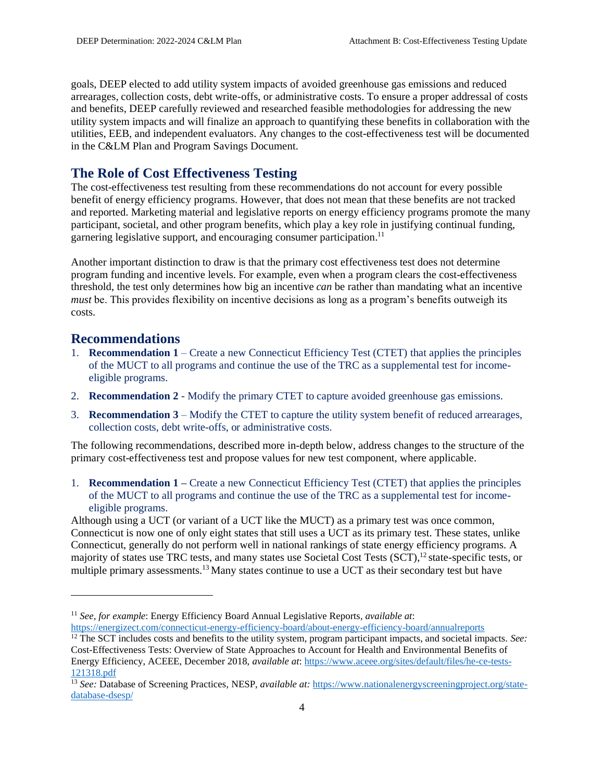goals, DEEP elected to add utility system impacts of avoided greenhouse gas emissions and reduced arrearages, collection costs, debt write-offs, or administrative costs. To ensure a proper addressal of costs and benefits, DEEP carefully reviewed and researched feasible methodologies for addressing the new utility system impacts and will finalize an approach to quantifying these benefits in collaboration with the utilities, EEB, and independent evaluators. Any changes to the cost-effectiveness test will be documented in the C&LM Plan and Program Savings Document.

## <span id="page-3-0"></span>**The Role of Cost Effectiveness Testing**

The cost-effectiveness test resulting from these recommendations do not account for every possible benefit of energy efficiency programs. However, that does not mean that these benefits are not tracked and reported. Marketing material and legislative reports on energy efficiency programs promote the many participant, societal, and other program benefits, which play a key role in justifying continual funding, garnering legislative support, and encouraging consumer participation.<sup>11</sup>

Another important distinction to draw is that the primary cost effectiveness test does not determine program funding and incentive levels. For example, even when a program clears the cost-effectiveness threshold, the test only determines how big an incentive *can* be rather than mandating what an incentive *must* be. This provides flexibility on incentive decisions as long as a program's benefits outweigh its costs.

#### <span id="page-3-1"></span>**Recommendations**

- 1. **Recommendation 1**  Create a new Connecticut Efficiency Test (CTET) that applies the principles of the MUCT to all programs and continue the use of the TRC as a supplemental test for incomeeligible programs.
- 2. **Recommendation 2** Modify the primary CTET to capture avoided greenhouse gas emissions.
- 3. **Recommendation 3**  Modify the CTET to capture the utility system benefit of reduced arrearages, collection costs, debt write-offs, or administrative costs.

The following recommendations, described more in-depth below, address changes to the structure of the primary cost-effectiveness test and propose values for new test component, where applicable.

<span id="page-3-2"></span>1. **Recommendation 1 –** Create a new Connecticut Efficiency Test (CTET) that applies the principles of the MUCT to all programs and continue the use of the TRC as a supplemental test for incomeeligible programs.

Although using a UCT (or variant of a UCT like the MUCT) as a primary test was once common, Connecticut is now one of only eight states that still uses a UCT as its primary test. These states, unlike Connecticut, generally do not perform well in national rankings of state energy efficiency programs. A majority of states use TRC tests, and many states use Societal Cost Tests (SCT),<sup>12</sup> state-specific tests, or multiple primary assessments.<sup>13</sup> Many states continue to use a UCT as their secondary test but have

<sup>11</sup> *See, for example*: Energy Efficiency Board Annual Legislative Reports, *available at*: <https://energizect.com/connecticut-energy-efficiency-board/about-energy-efficiency-board/annualreports>

<sup>12</sup> The SCT includes costs and benefits to the utility system, program participant impacts, and societal impacts. *See:*  Cost-Effectiveness Tests: Overview of State Approaches to Account for Health and Environmental Benefits of Energy Efficiency, ACEEE, December 2018, *available at*: [https://www.aceee.org/sites/default/files/he-ce-tests-](https://www.aceee.org/sites/default/files/he-ce-tests-121318.pdf)[121318.pdf](https://www.aceee.org/sites/default/files/he-ce-tests-121318.pdf)

<sup>13</sup> *See:* Database of Screening Practices, NESP, *available at:* [https://www.nationalenergyscreeningproject.org/state](https://www.nationalenergyscreeningproject.org/state-database-dsesp/)[database-dsesp/](https://www.nationalenergyscreeningproject.org/state-database-dsesp/)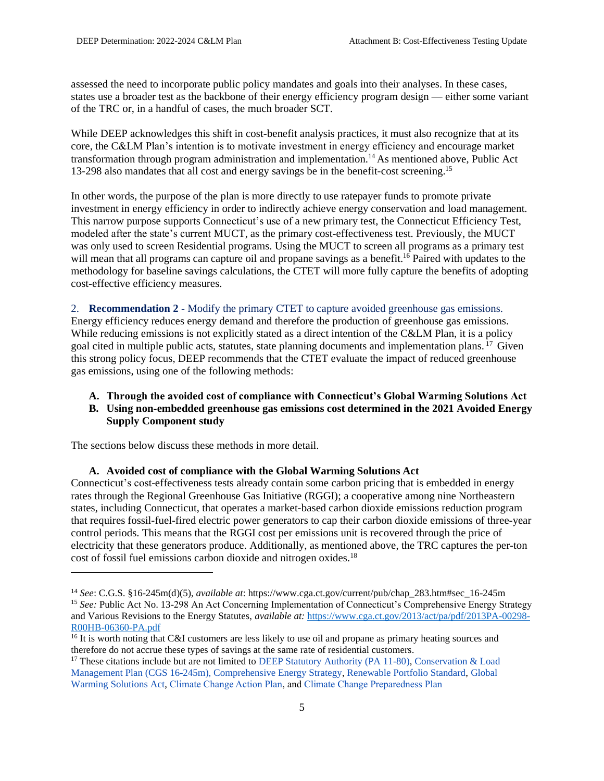assessed the need to incorporate public policy mandates and goals into their analyses. In these cases, states use a broader test as the backbone of their energy efficiency program design — either some variant of the TRC or, in a handful of cases, the much broader SCT.

While DEEP acknowledges this shift in cost-benefit analysis practices, it must also recognize that at its core, the C&LM Plan's intention is to motivate investment in energy efficiency and encourage market transformation through program administration and implementation.<sup>14</sup> As mentioned above, Public Act 13-298 also mandates that all cost and energy savings be in the benefit-cost screening.<sup>15</sup>

In other words, the purpose of the plan is more directly to use ratepayer funds to promote private investment in energy efficiency in order to indirectly achieve energy conservation and load management. This narrow purpose supports Connecticut's use of a new primary test, the Connecticut Efficiency Test, modeled after the state's current MUCT, as the primary cost-effectiveness test. Previously, the MUCT was only used to screen Residential programs. Using the MUCT to screen all programs as a primary test will mean that all programs can capture oil and propane savings as a benefit.<sup>16</sup> Paired with updates to the methodology for baseline savings calculations, the CTET will more fully capture the benefits of adopting cost-effective efficiency measures.

<span id="page-4-0"></span>2. **Recommendation 2** - Modify the primary CTET to capture avoided greenhouse gas emissions. Energy efficiency reduces energy demand and therefore the production of greenhouse gas emissions. While reducing emissions is not explicitly stated as a direct intention of the C&LM Plan, it is a policy goal cited in multiple public acts, statutes, state planning documents and implementation plans. <sup>17</sup> Given this strong policy focus, DEEP recommends that the CTET evaluate the impact of reduced greenhouse gas emissions, using one of the following methods:

**A. Through the avoided cost of compliance with Connecticut's Global Warming Solutions Act**

#### **B. Using non-embedded greenhouse gas emissions cost determined in the 2021 Avoided Energy Supply Component study**

The sections below discuss these methods in more detail.

**A. Avoided cost of compliance with the Global Warming Solutions Act**

Connecticut's cost-effectiveness tests already contain some carbon pricing that is embedded in energy rates through the Regional Greenhouse Gas Initiative (RGGI); a cooperative among nine Northeastern states, including Connecticut, that operates a market-based carbon dioxide emissions reduction program that requires fossil-fuel-fired electric power generators to cap their carbon dioxide emissions of three-year control periods. This means that the RGGI cost per emissions unit is recovered through the price of electricity that these generators produce. Additionally, as mentioned above, the TRC captures the per-ton cost of fossil fuel emissions carbon dioxide and nitrogen oxides.<sup>18</sup>

<sup>14</sup> *See*: C.G.S. §16-245m(d)(5), *available at*: https://www.cga.ct.gov/current/pub/chap\_283.htm#sec\_16-245m

<sup>15</sup> *See:* Public Act No. 13-298 An Act Concerning Implementation of Connecticut's Comprehensive Energy Strategy and Various Revisions to the Energy Statutes, *available at:* [https://www.cga.ct.gov/2013/act/pa/pdf/2013PA-00298-](https://www.cga.ct.gov/2013/act/pa/pdf/2013PA-00298-R00HB-06360-PA.pdf) [R00HB-06360-PA.pdf](https://www.cga.ct.gov/2013/act/pa/pdf/2013PA-00298-R00HB-06360-PA.pdf)

<sup>&</sup>lt;sup>16</sup> It is worth noting that C&I customers are less likely to use oil and propane as primary heating sources and therefore do not accrue these types of savings at the same rate of residential customers.

<sup>&</sup>lt;sup>17</sup> These citations include but are not limited to [DEEP Statutory Authority \(PA 11-80\),](https://www.cga.ct.gov/2011/ACT/PA/2011PA-00080-R00SB-01243-PA.htm) Conservation & Load [Management Plan](https://portal.ct.gov/DEEP/Energy/Conservation-and-Load-Management/Conservation-and-Load-Management) (CGS 16-245m)[, Comprehensive Energy Strategy,](http://www.ct.gov/deep/cwp/view.asp?a=4405&q=500752&deepNav_GID=2121) [Renewable Portfolio Standard,](http://www.ct.gov/pura/cwp/view.asp?a=3354&q=415186) [Global](http://www.cga.ct.gov/2008/ACT/PA/2008PA-00098-R00HB-05600-PA.htm)  [Warming Solutions Act,](http://www.cga.ct.gov/2008/ACT/PA/2008PA-00098-R00HB-05600-PA.htm) [Climate Change Action Plan,](https://portal.ct.gov/-/media/DEEP/climatechange/CTClimateChangeActionPlan2005pdf.pdf) and [Climate Change Preparedness Plan](https://portal.ct.gov/-/media/DEEP/climatechange/ConnecticutClimatePreparednessPlan2011pdf.pdf)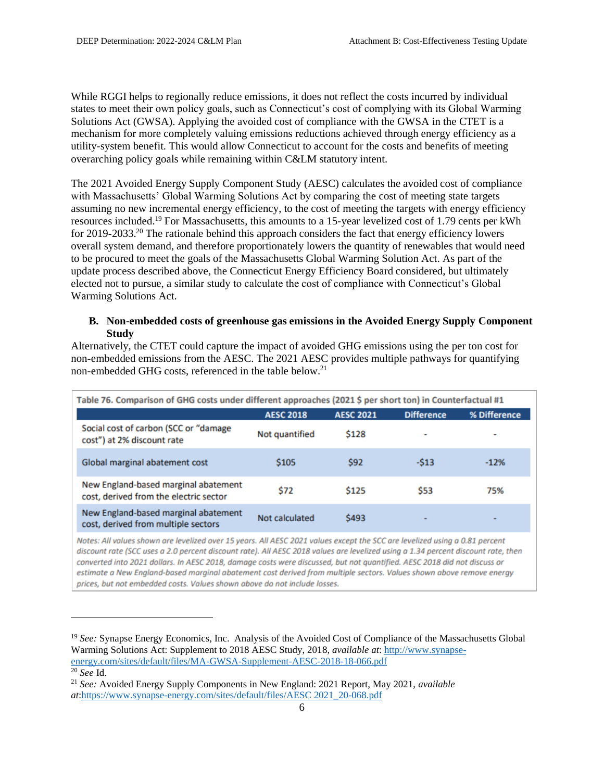While RGGI helps to regionally reduce emissions, it does not reflect the costs incurred by individual states to meet their own policy goals, such as Connecticut's cost of complying with its Global Warming Solutions Act (GWSA). Applying the avoided cost of compliance with the GWSA in the CTET is a mechanism for more completely valuing emissions reductions achieved through energy efficiency as a utility-system benefit. This would allow Connecticut to account for the costs and benefits of meeting overarching policy goals while remaining within C&LM statutory intent.

The 2021 Avoided Energy Supply Component Study (AESC) calculates the avoided cost of compliance with Massachusetts' Global Warming Solutions Act by comparing the cost of meeting state targets assuming no new incremental energy efficiency, to the cost of meeting the targets with energy efficiency resources included.<sup>19</sup> For Massachusetts, this amounts to a 15-year levelized cost of 1.79 cents per kWh for 2019-2033.<sup>20</sup> The rationale behind this approach considers the fact that energy efficiency lowers overall system demand, and therefore proportionately lowers the quantity of renewables that would need to be procured to meet the goals of the Massachusetts Global Warming Solution Act. As part of the update process described above, the Connecticut Energy Efficiency Board considered, but ultimately elected not to pursue, a similar study to calculate the cost of compliance with Connecticut's Global Warming Solutions Act.

#### **B. Non-embedded costs of greenhouse gas emissions in the Avoided Energy Supply Component Study**

| Table 76. Comparison of GHG costs under different approaches (2021 \$ per short ton) in Counterfactual #1 |                  |                  |                   |              |  |
|-----------------------------------------------------------------------------------------------------------|------------------|------------------|-------------------|--------------|--|
|                                                                                                           | <b>AESC 2018</b> | <b>AESC 2021</b> | <b>Difference</b> | % Difference |  |
| Social cost of carbon (SCC or "damage"<br>cost") at 2% discount rate                                      | Not quantified   | \$128            | -                 | ٠            |  |
| Global marginal abatement cost                                                                            | \$105            | \$92             | $-513$            | $-12%$       |  |
| New England-based marginal abatement<br>cost, derived from the electric sector                            | \$72             | \$125            | \$53              | 75%          |  |
| New England-based marginal abatement<br>cost, derived from multiple sectors                               | Not calculated   | \$493            |                   | ۰            |  |

Alternatively, the CTET could capture the impact of avoided GHG emissions using the per ton cost for non-embedded emissions from the AESC. The 2021 AESC provides multiple pathways for quantifying non-embedded GHG costs, referenced in the table below. 21

Notes: All values shown are levelized over 15 years. All AESC 2021 values except the SCC are levelized using a 0.81 percent discount rate (SCC uses a 2.0 percent discount rate). All AESC 2018 values are levelized using a 1.34 percent discount rate, then converted into 2021 dollars. In AESC 2018, damage costs were discussed, but not quantified. AESC 2018 did not discuss or estimate a New England-based marginal abatement cost derived from multiple sectors. Values shown above remove energy prices, but not embedded costs. Values shown above do not include losses.

<sup>19</sup> *See:* Synapse Energy Economics, Inc. Analysis of the Avoided Cost of Compliance of the Massachusetts Global Warming Solutions Act: Supplement to 2018 AESC Study, 2018, *available at*: [http://www.synapse](http://www.synapse-energy.com/sites/default/files/MA-GWSA-Supplement-AESC-2018-18-066.pdf)[energy.com/sites/default/files/MA-GWSA-Supplement-AESC-2018-18-066.pdf](http://www.synapse-energy.com/sites/default/files/MA-GWSA-Supplement-AESC-2018-18-066.pdf) <sup>20</sup> *See* Id.

<sup>21</sup> *See:* Avoided Energy Supply Components in New England: 2021 Report, May 2021, *available at*[:https://www.synapse-energy.com/sites/default/files/AESC 2021\\_20-068.pdf](https://www.synapse-energy.com/sites/default/files/AESC%202021_20-068.pdf)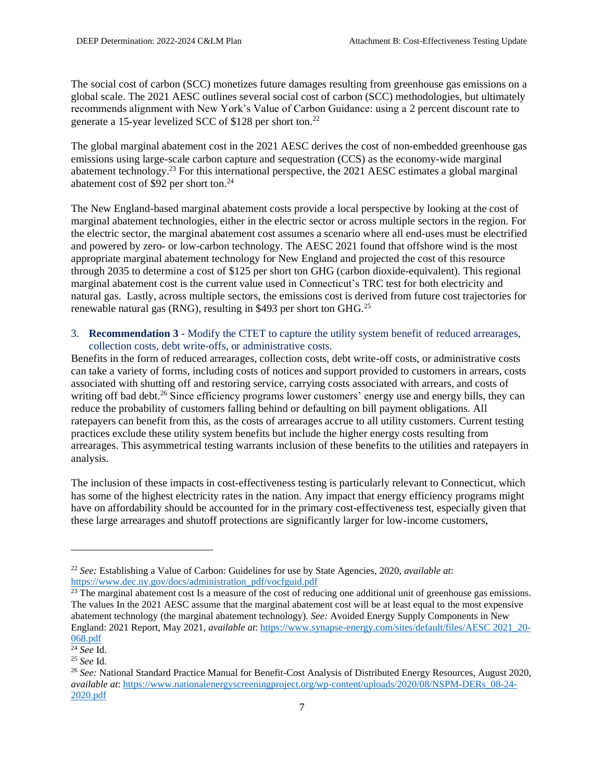The social cost of carbon (SCC) monetizes future damages resulting from greenhouse gas emissions on a global scale. The 2021 AESC outlines several social cost of carbon (SCC) methodologies, but ultimately recommends alignment with New York's Value of Carbon Guidance: using a 2 percent discount rate to generate a 15-year levelized SCC of \$128 per short ton.<sup>22</sup>

The global marginal abatement cost in the 2021 AESC derives the cost of non-embedded greenhouse gas emissions using large-scale carbon capture and sequestration (CCS) as the economy-wide marginal abatement technology.<sup>23</sup> For this international perspective, the 2021 AESC estimates a global marginal abatement cost of \$92 per short ton.<sup>24</sup>

The New England-based marginal abatement costs provide a local perspective by looking at the cost of marginal abatement technologies, either in the electric sector or across multiple sectors in the region. For the electric sector, the marginal abatement cost assumes a scenario where all end-uses must be electrified and powered by zero- or low-carbon technology. The AESC 2021 found that offshore wind is the most appropriate marginal abatement technology for New England and projected the cost of this resource through 2035 to determine a cost of \$125 per short ton GHG (carbon dioxide-equivalent). This regional marginal abatement cost is the current value used in Connecticut's TRC test for both electricity and natural gas. Lastly, across multiple sectors, the emissions cost is derived from future cost trajectories for renewable natural gas (RNG), resulting in \$493 per short ton GHG.<sup>25</sup>

#### <span id="page-6-0"></span>3. **Recommendation 3** - Modify the CTET to capture the utility system benefit of reduced arrearages, collection costs, debt write-offs, or administrative costs.

Benefits in the form of reduced arrearages, collection costs, debt write-off costs, or administrative costs can take a variety of forms, including costs of notices and support provided to customers in arrears, costs associated with shutting off and restoring service, carrying costs associated with arrears, and costs of writing off bad debt.<sup>26</sup> Since efficiency programs lower customers' energy use and energy bills, they can reduce the probability of customers falling behind or defaulting on bill payment obligations. All ratepayers can benefit from this, as the costs of arrearages accrue to all utility customers. Current testing practices exclude these utility system benefits but include the higher energy costs resulting from arrearages. This asymmetrical testing warrants inclusion of these benefits to the utilities and ratepayers in analysis.

The inclusion of these impacts in cost-effectiveness testing is particularly relevant to Connecticut, which has some of the highest electricity rates in the nation. Any impact that energy efficiency programs might have on affordability should be accounted for in the primary cost-effectiveness test, especially given that these large arrearages and shutoff protections are significantly larger for low-income customers,

<sup>22</sup> *See:* Establishing a Value of Carbon: Guidelines for use by State Agencies, 2020, *available at*: [https://www.dec.ny.gov/docs/administration\\_pdf/vocfguid.pdf](https://www.dec.ny.gov/docs/administration_pdf/vocfguid.pdf)

 $23$  The marginal abatement cost Is a measure of the cost of reducing one additional unit of greenhouse gas emissions. The values In the 2021 AESC assume that the marginal abatement cost will be at least equal to the most expensive abatement technology (the marginal abatement technology). *See:* Avoided Energy Supply Components in New England: 2021 Report, May 2021, *available at*: [https://www.synapse-energy.com/sites/default/files/AESC 2021\\_20-](https://www.synapse-energy.com/sites/default/files/AESC%202021_20-068.pdf) [068.pdf](https://www.synapse-energy.com/sites/default/files/AESC%202021_20-068.pdf)

<sup>24</sup> *See* Id.

<sup>25</sup> *See* Id.

<sup>26</sup> *See:* National Standard Practice Manual for Benefit-Cost Analysis of Distributed Energy Resources, August 2020, *available at*: [https://www.nationalenergyscreeningproject.org/wp-content/uploads/2020/08/NSPM-DERs\\_08-24-](https://www.nationalenergyscreeningproject.org/wp-content/uploads/2020/08/NSPM-DERs_08-24-2020.pdf) [2020.pdf](https://www.nationalenergyscreeningproject.org/wp-content/uploads/2020/08/NSPM-DERs_08-24-2020.pdf)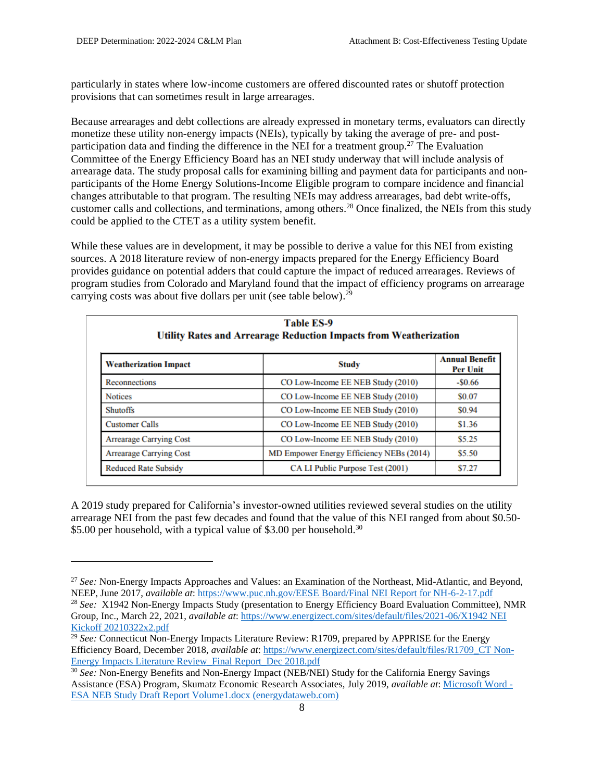particularly in states where low-income customers are offered discounted rates or shutoff protection provisions that can sometimes result in large arrearages.

Because arrearages and debt collections are already expressed in monetary terms, evaluators can directly monetize these utility non-energy impacts (NEIs), typically by taking the average of pre- and postparticipation data and finding the difference in the NEI for a treatment group.<sup>27</sup> The Evaluation Committee of the Energy Efficiency Board has an NEI study underway that will include analysis of arrearage data. The study proposal calls for examining billing and payment data for participants and nonparticipants of the Home Energy Solutions-Income Eligible program to compare incidence and financial changes attributable to that program. The resulting NEIs may address arrearages, bad debt write-offs, customer calls and collections, and terminations, among others.<sup>28</sup> Once finalized, the NEIs from this study could be applied to the CTET as a utility system benefit.

While these values are in development, it may be possible to derive a value for this NEI from existing sources. A 2018 literature review of non-energy impacts prepared for the Energy Efficiency Board provides guidance on potential adders that could capture the impact of reduced arrearages. Reviews of program studies from Colorado and Maryland found that the impact of efficiency programs on arrearage carrying costs was about five dollars per unit (see table below).<sup>29</sup>

| <b>Table ES-9</b><br><b>Utility Rates and Arrearage Reduction Impacts from Weatherization</b> |                                          |                                          |  |  |
|-----------------------------------------------------------------------------------------------|------------------------------------------|------------------------------------------|--|--|
| <b>Weatherization Impact</b>                                                                  | <b>Study</b>                             | <b>Annual Benefit</b><br><b>Per Unit</b> |  |  |
| <b>Reconnections</b>                                                                          | CO Low-Income EE NEB Study (2010)        | $-$ \$0.66                               |  |  |
| <b>Notices</b>                                                                                | CO Low-Income EE NEB Study (2010)        | \$0.07                                   |  |  |
| <b>Shutoffs</b>                                                                               | CO Low-Income EE NEB Study (2010)        | \$0.94                                   |  |  |
| <b>Customer Calls</b>                                                                         | CO Low-Income EE NEB Study (2010)        | \$1.36                                   |  |  |
| <b>Arrearage Carrying Cost</b>                                                                | CO Low-Income EE NEB Study (2010)        | \$5.25                                   |  |  |
| <b>Arrearage Carrying Cost</b>                                                                | MD Empower Energy Efficiency NEBs (2014) | \$5.50                                   |  |  |
| <b>Reduced Rate Subsidy</b>                                                                   | CA LI Public Purpose Test (2001)         | \$7.27                                   |  |  |

A 2019 study prepared for California's investor-owned utilities reviewed several studies on the utility arrearage NEI from the past few decades and found that the value of this NEI ranged from about \$0.50- \$5.00 per household, with a typical value of \$3.00 per household.<sup>30</sup>

<sup>27</sup> *See:* Non-Energy Impacts Approaches and Values: an Examination of the Northeast, Mid-Atlantic, and Beyond, NEEP, June 2017, *available at*[: https://www.puc.nh.gov/EESE Board/Final NEI Report for NH-6-2-17.pdf](https://www.puc.nh.gov/EESE%20Board/Final%20NEI%20Report%20for%20NH-6-2-17.pdf) <sup>28</sup> *See:* X1942 Non-Energy Impacts Study (presentation to Energy Efficiency Board Evaluation Committee), NMR Group, Inc., March 22, 2021, *available at*: [https://www.energizect.com/sites/default/files/2021-06/X1942 NEI](https://www.energizect.com/sites/default/files/2021-06/X1942%20NEI%20Kickoff%2020210322x2.pdf) 

[Kickoff 20210322x2.pdf](https://www.energizect.com/sites/default/files/2021-06/X1942%20NEI%20Kickoff%2020210322x2.pdf)

<sup>29</sup> *See:* Connecticut Non-Energy Impacts Literature Review: R1709, prepared by APPRISE for the Energy Efficiency Board, December 2018, *available at*: [https://www.energizect.com/sites/default/files/R1709\\_CT Non-](https://www.energizect.com/sites/default/files/R1709_CT%20Non-Energy%20Impacts%20Literature%20Review_Final%20Report_Dec%202018.pdf)[Energy Impacts Literature Review\\_Final Report\\_Dec 2018.pdf](https://www.energizect.com/sites/default/files/R1709_CT%20Non-Energy%20Impacts%20Literature%20Review_Final%20Report_Dec%202018.pdf)

<sup>30</sup> *See:* Non-Energy Benefits and Non-Energy Impact (NEB/NEI) Study for the California Energy Savings Assistance (ESA) Program, Skumatz Economic Research Associates, July 2019, *available at*: [Microsoft Word -](https://pda.energydataweb.com/api/view/2289/ESA%20NEB%20Study%20Draft%20Report%20Volume1.pdf) [ESA NEB Study Draft Report Volume1.docx \(energydataweb.com\)](https://pda.energydataweb.com/api/view/2289/ESA%20NEB%20Study%20Draft%20Report%20Volume1.pdf)